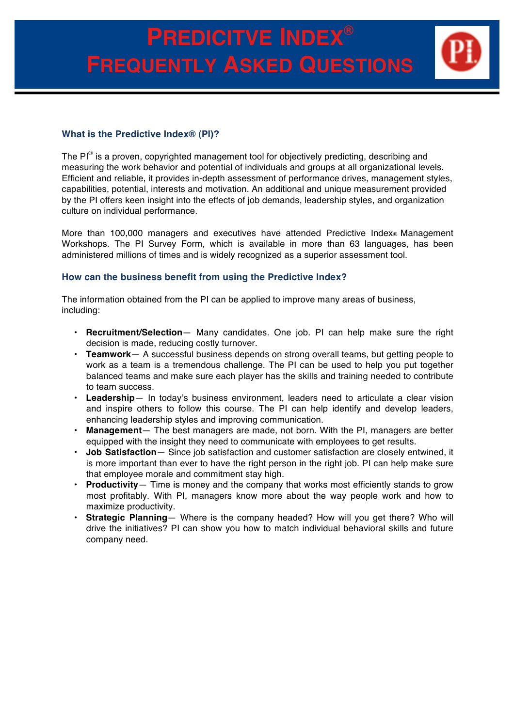# **PREDICITVE INDEX® FREQUENTLY ASKED QUESTIONS**



## **What is the Predictive Index® (PI)?**

The PI<sup>®</sup> is a proven, copyrighted management tool for objectively predicting, describing and measuring the work behavior and potential of individuals and groups at all organizational levels. Efficient and reliable, it provides in-depth assessment of performance drives, management styles, capabilities, potential, interests and motivation. An additional and unique measurement provided by the PI offers keen insight into the effects of job demands, leadership styles, and organization culture on individual performance.

More than 100,000 managers and executives have attended Predictive Index<sup>®</sup> Management Workshops. The PI Survey Form, which is available in more than 63 languages, has been administered millions of times and is widely recognized as a superior assessment tool.

## **How can the business benefit from using the Predictive Index?**

The information obtained from the PI can be applied to improve many areas of business, including:

- **Recruitment/Selection** Many candidates. One job. PI can help make sure the right decision is made, reducing costly turnover.
- **Teamwork** A successful business depends on strong overall teams, but getting people to work as a team is a tremendous challenge. The PI can be used to help you put together balanced teams and make sure each player has the skills and training needed to contribute to team success.
- **Leadership** In today's business environment, leaders need to articulate a clear vision and inspire others to follow this course. The PI can help identify and develop leaders, enhancing leadership styles and improving communication.
- **Management** The best managers are made, not born. With the PI, managers are better equipped with the insight they need to communicate with employees to get results.
- **Job Satisfaction** Since job satisfaction and customer satisfaction are closely entwined, it is more important than ever to have the right person in the right job. PI can help make sure that employee morale and commitment stay high.
- **Productivity** Time is money and the company that works most efficiently stands to grow most profitably. With PI, managers know more about the way people work and how to maximize productivity.
- **Strategic Planning** Where is the company headed? How will you get there? Who will drive the initiatives? PI can show you how to match individual behavioral skills and future company need.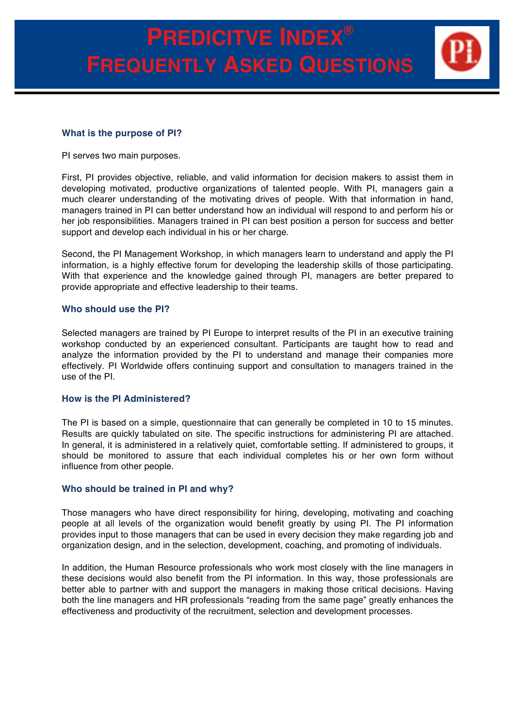### **What is the purpose of PI?**

PI serves two main purposes.

First, PI provides objective, reliable, and valid information for decision makers to assist them in developing motivated, productive organizations of talented people. With PI, managers gain a much clearer understanding of the motivating drives of people. With that information in hand, managers trained in PI can better understand how an individual will respond to and perform his or her job responsibilities. Managers trained in PI can best position a person for success and better support and develop each individual in his or her charge.

Second, the PI Management Workshop, in which managers learn to understand and apply the PI information, is a highly effective forum for developing the leadership skills of those participating. With that experience and the knowledge gained through PI, managers are better prepared to provide appropriate and effective leadership to their teams.

#### **Who should use the PI?**

Selected managers are trained by PI Europe to interpret results of the PI in an executive training workshop conducted by an experienced consultant. Participants are taught how to read and analyze the information provided by the PI to understand and manage their companies more effectively. PI Worldwide offers continuing support and consultation to managers trained in the use of the PI.

### **How is the PI Administered?**

The PI is based on a simple, questionnaire that can generally be completed in 10 to 15 minutes. Results are quickly tabulated on site. The specific instructions for administering PI are attached. In general, it is administered in a relatively quiet, comfortable setting. If administered to groups, it should be monitored to assure that each individual completes his or her own form without influence from other people.

### **Who should be trained in PI and why?**

Those managers who have direct responsibility for hiring, developing, motivating and coaching people at all levels of the organization would benefit greatly by using PI. The PI information provides input to those managers that can be used in every decision they make regarding job and organization design, and in the selection, development, coaching, and promoting of individuals.

In addition, the Human Resource professionals who work most closely with the line managers in these decisions would also benefit from the PI information. In this way, those professionals are better able to partner with and support the managers in making those critical decisions. Having both the line managers and HR professionals "reading from the same page" greatly enhances the effectiveness and productivity of the recruitment, selection and development processes.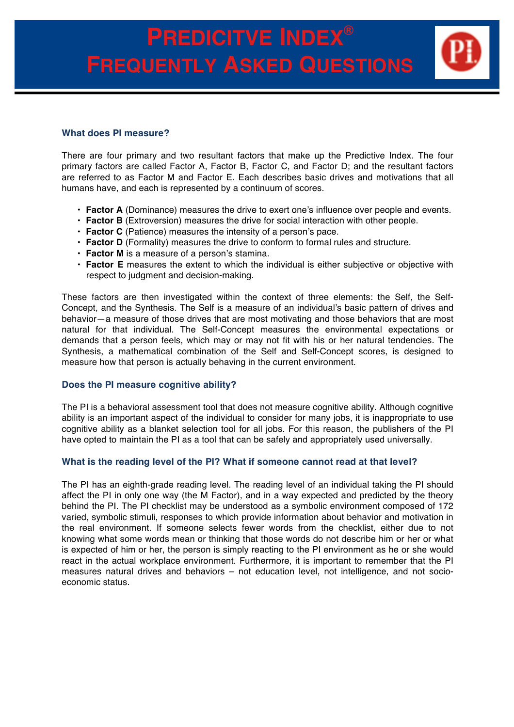

### **What does PI measure?**

There are four primary and two resultant factors that make up the Predictive Index. The four primary factors are called Factor A, Factor B, Factor C, and Factor D; and the resultant factors are referred to as Factor M and Factor E. Each describes basic drives and motivations that all humans have, and each is represented by a continuum of scores.

- **Factor A** (Dominance) measures the drive to exert one's influence over people and events.
- **Factor B** (Extroversion) measures the drive for social interaction with other people.
- **Factor C** (Patience) measures the intensity of a person's pace.
- **Factor D** (Formality) measures the drive to conform to formal rules and structure.
- **Factor M** is a measure of a person's stamina.
- **Factor E** measures the extent to which the individual is either subjective or objective with respect to judgment and decision-making.

These factors are then investigated within the context of three elements: the Self, the Self-Concept, and the Synthesis. The Self is a measure of an individual's basic pattern of drives and behavior—a measure of those drives that are most motivating and those behaviors that are most natural for that individual. The Self-Concept measures the environmental expectations or demands that a person feels, which may or may not fit with his or her natural tendencies. The Synthesis, a mathematical combination of the Self and Self-Concept scores, is designed to measure how that person is actually behaving in the current environment.

## **Does the PI measure cognitive ability?**

The PI is a behavioral assessment tool that does not measure cognitive ability. Although cognitive ability is an important aspect of the individual to consider for many jobs, it is inappropriate to use cognitive ability as a blanket selection tool for all jobs. For this reason, the publishers of the PI have opted to maintain the PI as a tool that can be safely and appropriately used universally.

## **What is the reading level of the PI? What if someone cannot read at that level?**

The PI has an eighth-grade reading level. The reading level of an individual taking the PI should affect the PI in only one way (the M Factor), and in a way expected and predicted by the theory behind the PI. The PI checklist may be understood as a symbolic environment composed of 172 varied, symbolic stimuli, responses to which provide information about behavior and motivation in the real environment. If someone selects fewer words from the checklist, either due to not knowing what some words mean or thinking that those words do not describe him or her or what is expected of him or her, the person is simply reacting to the PI environment as he or she would react in the actual workplace environment. Furthermore, it is important to remember that the PI measures natural drives and behaviors – not education level, not intelligence, and not socioeconomic status.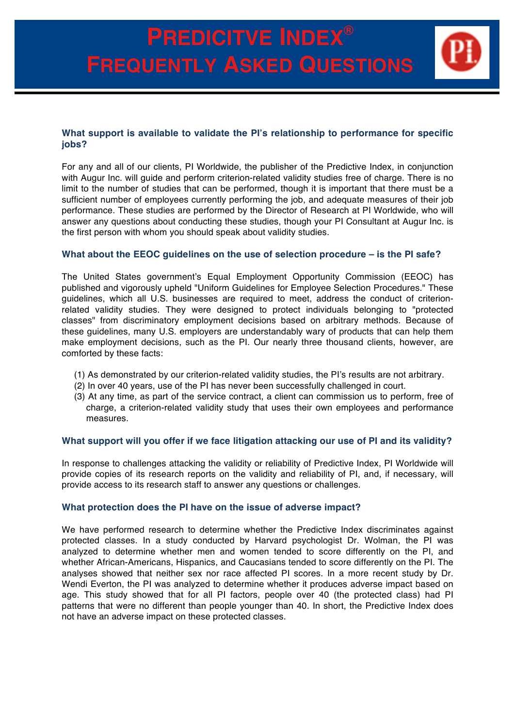# **PREDICITVE INDEX® FREQUENTLY ASKED QUESTIONS**

## **What support is available to validate the PI's relationship to performance for specific jobs?**

For any and all of our clients, PI Worldwide, the publisher of the Predictive Index, in conjunction with Augur Inc. will guide and perform criterion-related validity studies free of charge. There is no limit to the number of studies that can be performed, though it is important that there must be a sufficient number of employees currently performing the job, and adequate measures of their job performance. These studies are performed by the Director of Research at PI Worldwide, who will answer any questions about conducting these studies, though your PI Consultant at Augur Inc. is the first person with whom you should speak about validity studies.

## **What about the EEOC guidelines on the use of selection procedure – is the PI safe?**

The United States government's Equal Employment Opportunity Commission (EEOC) has published and vigorously upheld "Uniform Guidelines for Employee Selection Procedures." These guidelines, which all U.S. businesses are required to meet, address the conduct of criterionrelated validity studies. They were designed to protect individuals belonging to "protected classes" from discriminatory employment decisions based on arbitrary methods. Because of these guidelines, many U.S. employers are understandably wary of products that can help them make employment decisions, such as the PI. Our nearly three thousand clients, however, are comforted by these facts:

- (1) As demonstrated by our criterion-related validity studies, the PI's results are not arbitrary.
- (2) In over 40 years, use of the PI has never been successfully challenged in court.
- (3) At any time, as part of the service contract, a client can commission us to perform, free of charge, a criterion-related validity study that uses their own employees and performance measures.

### **What support will you offer if we face litigation attacking our use of PI and its validity?**

In response to challenges attacking the validity or reliability of Predictive Index, PI Worldwide will provide copies of its research reports on the validity and reliability of PI, and, if necessary, will provide access to its research staff to answer any questions or challenges.

### **What protection does the PI have on the issue of adverse impact?**

We have performed research to determine whether the Predictive Index discriminates against protected classes. In a study conducted by Harvard psychologist Dr. Wolman, the PI was analyzed to determine whether men and women tended to score differently on the PI, and whether African-Americans, Hispanics, and Caucasians tended to score differently on the PI. The analyses showed that neither sex nor race affected PI scores. In a more recent study by Dr. Wendi Everton, the PI was analyzed to determine whether it produces adverse impact based on age. This study showed that for all PI factors, people over 40 (the protected class) had PI patterns that were no different than people younger than 40. In short, the Predictive Index does not have an adverse impact on these protected classes.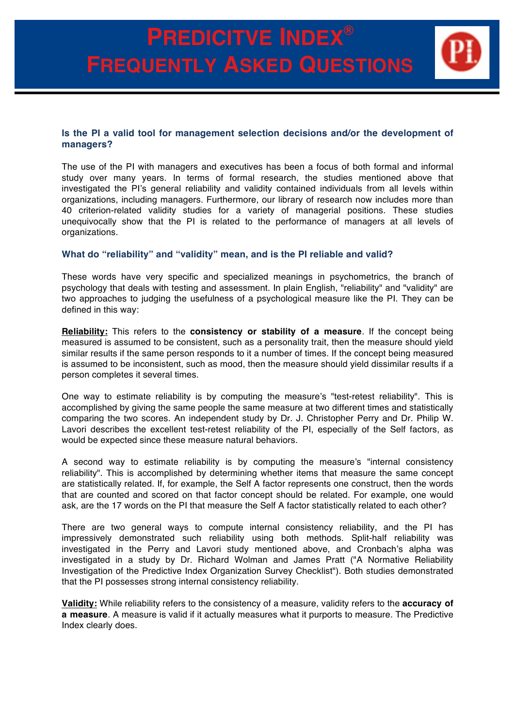# **PREDICITVE INDEX® FREQUENTLY ASKED QUESTIONS**

## **Is the PI a valid tool for management selection decisions and/or the development of managers?**

The use of the PI with managers and executives has been a focus of both formal and informal study over many years. In terms of formal research, the studies mentioned above that investigated the PI's general reliability and validity contained individuals from all levels within organizations, including managers. Furthermore, our library of research now includes more than 40 criterion-related validity studies for a variety of managerial positions. These studies unequivocally show that the PI is related to the performance of managers at all levels of organizations.

## **What do "reliability" and "validity" mean, and is the PI reliable and valid?**

These words have very specific and specialized meanings in psychometrics, the branch of psychology that deals with testing and assessment. In plain English, "reliability" and "validity" are two approaches to judging the usefulness of a psychological measure like the PI. They can be defined in this way:

**Reliability:** This refers to the **consistency or stability of a measure**. If the concept being measured is assumed to be consistent, such as a personality trait, then the measure should yield similar results if the same person responds to it a number of times. If the concept being measured is assumed to be inconsistent, such as mood, then the measure should yield dissimilar results if a person completes it several times.

One way to estimate reliability is by computing the measure's "test-retest reliability". This is accomplished by giving the same people the same measure at two different times and statistically comparing the two scores. An independent study by Dr. J. Christopher Perry and Dr. Philip W. Lavori describes the excellent test-retest reliability of the PI, especially of the Self factors, as would be expected since these measure natural behaviors.

A second way to estimate reliability is by computing the measure's "internal consistency reliability". This is accomplished by determining whether items that measure the same concept are statistically related. If, for example, the Self A factor represents one construct, then the words that are counted and scored on that factor concept should be related. For example, one would ask, are the 17 words on the PI that measure the Self A factor statistically related to each other?

There are two general ways to compute internal consistency reliability, and the PI has impressively demonstrated such reliability using both methods. Split-half reliability was investigated in the Perry and Lavori study mentioned above, and Cronbach's alpha was investigated in a study by Dr. Richard Wolman and James Pratt ("A Normative Reliability Investigation of the Predictive Index Organization Survey Checklist"). Both studies demonstrated that the PI possesses strong internal consistency reliability.

**Validity:** While reliability refers to the consistency of a measure, validity refers to the **accuracy of a measure**. A measure is valid if it actually measures what it purports to measure. The Predictive Index clearly does.